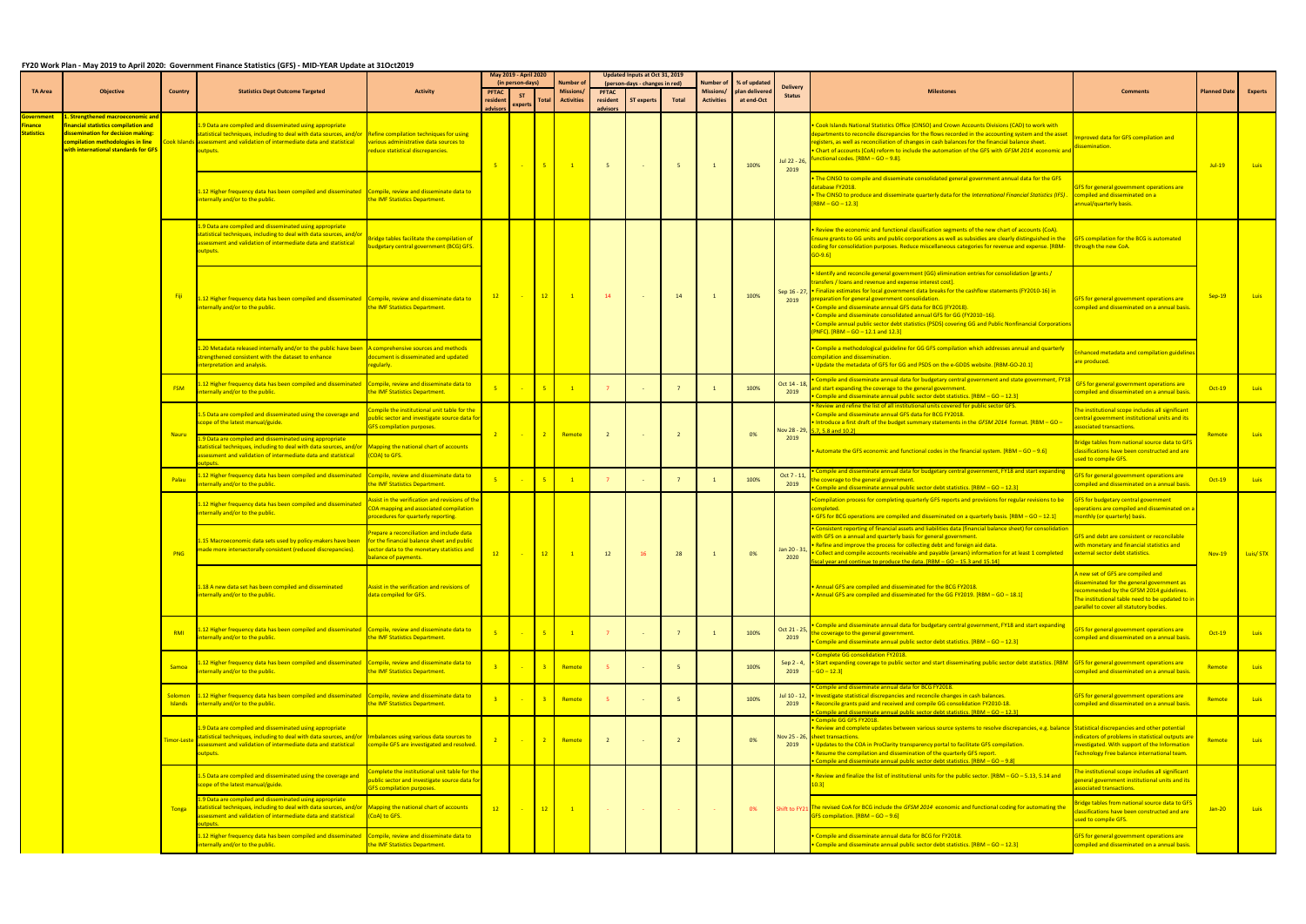## **FY20 Work Plan - May 2019 to April 2020: Government Finance Statistics (GFS) - MID-YEAR Update at 31Oct2019**

|                              |                                                                                                                                                                                         |                           |                                                                                                                                                                                                                                         |                                                                                                                                                                                      | May 2019 - April 2020<br>(in person-days) |                                                                                                                                                                                                       |                                                                                                                        | Number o                              |                                      | Updated Inputs at Oct 31, 2019<br>(person-days - changes in red) |                | Number of                      | % of updated                 |                                  |                                                                                                                                                                                                                                                                                                                                                                                                                                                                                                                                                                                                       |                                                                                                                                                                                                                                |                     |                |
|------------------------------|-----------------------------------------------------------------------------------------------------------------------------------------------------------------------------------------|---------------------------|-----------------------------------------------------------------------------------------------------------------------------------------------------------------------------------------------------------------------------------------|--------------------------------------------------------------------------------------------------------------------------------------------------------------------------------------|-------------------------------------------|-------------------------------------------------------------------------------------------------------------------------------------------------------------------------------------------------------|------------------------------------------------------------------------------------------------------------------------|---------------------------------------|--------------------------------------|------------------------------------------------------------------|----------------|--------------------------------|------------------------------|----------------------------------|-------------------------------------------------------------------------------------------------------------------------------------------------------------------------------------------------------------------------------------------------------------------------------------------------------------------------------------------------------------------------------------------------------------------------------------------------------------------------------------------------------------------------------------------------------------------------------------------------------|--------------------------------------------------------------------------------------------------------------------------------------------------------------------------------------------------------------------------------|---------------------|----------------|
| TA Area                      | <b>Objective</b>                                                                                                                                                                        | Country                   | <b>Statistics Dept Outcome Targeted</b>                                                                                                                                                                                                 | <b>Activity</b>                                                                                                                                                                      | <b>PFTAC</b><br>resident<br>advisors      | <b>ST</b><br>experts                                                                                                                                                                                  | Total                                                                                                                  | <b>Missions/</b><br><b>Activities</b> | <b>PFTAC</b><br>resident<br>advisors | ST experts                                                       | Total          | Missions/<br><b>Activities</b> | plan delivered<br>at end-Oct | <b>Delivery</b><br><b>Status</b> | <b>Milestones</b>                                                                                                                                                                                                                                                                                                                                                                                                                                                                                                                                                                                     | <b>Comments</b>                                                                                                                                                                                                                | <b>Planned Date</b> | <b>Experts</b> |
| inance:<br><b>Statistics</b> | Strengthened macroeconomic and<br>inancial statistics compilation and<br>dissemination for decision making:<br>ompilation methodologies in line<br>vith international standards for GFS |                           | 1.9 Data are compiled and disseminated using appropriate<br>statistical techniques, including to deal with data sources, and/or<br>cook Islands assessment and validation of intermediate data and statistical<br>outputs.              | <b>Refine compilation techniques for using</b><br>various administrative data sources to<br>educe statistical discrepancies.                                                         | $-5$                                      | $\sim$ $-$                                                                                                                                                                                            | $5 -$                                                                                                                  | $\overline{1}$                        | 5 <sup>7</sup>                       |                                                                  | 5              | $\overline{1}$                 | 100%                         | Jul 22 - 26,                     | Cook Islands National Statistics Office (CINSO) and Crown Accounts Divisions (CAD) to work with<br>departments to reconcile discrepancies for the flows recorded in the accounting system and the asset<br>egisters, as well as reconciliation of changes in cash balances for the financial balance sheet.<br>Chart of accounts (CoA) reform to include the automation of the GFS with <i>GFSM 2014</i> economic an<br>unctional codes. [RBM - GO - 9.8].                                                                                                                                            | proved data for GFS compilation and<br>semination.                                                                                                                                                                             | $Jul-19$            | <b>Luis</b>    |
|                              |                                                                                                                                                                                         |                           | 1.12 Higher frequency data has been compiled and disseminated Compile, review and disseminate data to<br>nternally and/or to the public.                                                                                                | the IMF Statistics Department.                                                                                                                                                       |                                           |                                                                                                                                                                                                       |                                                                                                                        |                                       |                                      |                                                                  |                |                                |                              | 2019                             | The CINSO to compile and disseminate consolidated general government annual data for the GFS<br>atabase FY2018.<br>The CINSO to produce and disseminate quarterly data for the International Financial Statistics (IFS)<br>$RBM - GO - 12.3$                                                                                                                                                                                                                                                                                                                                                          | <b>GFS</b> for general government operations are<br>compiled and disseminated on a<br>nnual/quarterly basis.                                                                                                                   |                     |                |
|                              |                                                                                                                                                                                         |                           | 1.9 Data are compiled and disseminated using appropriate<br>statistical techniques, including to deal with data sources, and/o<br>assessment and validation of intermediate data and statistical<br>outputs.                            | ridge tables facilitate the compilation of<br>udgetary central government (BCG) GFS.                                                                                                 |                                           |                                                                                                                                                                                                       |                                                                                                                        |                                       |                                      |                                                                  |                |                                |                              |                                  | Review the economic and functional classification segments of the new chart of accounts (CoA).<br>nsure grants to GG units and public corporations as well as subsidies are clearly distinguished in the<br>-oding for consolidation purposes. Reduce miscellaneous categories for revenue and expense. [RBM<br>$GO-9.6$ ]                                                                                                                                                                                                                                                                            | <b>GFS compilation for the BCG is automated</b><br>rough the new CoA.                                                                                                                                                          |                     |                |
|                              |                                                                                                                                                                                         |                           | 1.12 Higher frequency data has been compiled and disseminated Compile, review and disseminate data to<br>nternally and/or to the public.                                                                                                | the IMF Statistics Department.                                                                                                                                                       | 12                                        | $\sim$ 100 $\pm$                                                                                                                                                                                      | 12                                                                                                                     | $\overline{1}$                        | 14                                   |                                                                  | 14             |                                | 100%                         | Sep 16 - 27,<br>2019             | Identify and reconcile general government (GG) elimination entries for consolidation [grants /<br>ransfers / loans and revenue and expense interest cost].<br>. Finalize estimates for local government data breaks for the cashflow statements (FY2010-16) in<br>preparation for general government consolidation.<br>Compile and disseminate annual GFS data for BCG (FY2018).<br>Compile and disseminate consolidated annual GFS for GG (FY2010-16).<br>Compile annual public sector debt statistics (PSDS) covering GG and Public Nonfinancial Corporation ·<br>PNFC). [RBM - GO - 12.1 and 12.3] | GFS for general government operations are<br>ompiled and disseminated on a annual basis.                                                                                                                                       | $Sep-19$            | <b>Luis</b>    |
|                              |                                                                                                                                                                                         |                           | 1.20 Metadata released internally and/or to the public have been<br>strengthened consistent with the dataset to enhance<br>terpretation and analysis.                                                                                   | A comprehensive sources and methods<br>document is disseminated and updated<br>egularly                                                                                              |                                           |                                                                                                                                                                                                       |                                                                                                                        |                                       |                                      |                                                                  |                |                                |                              |                                  | Compile a methodological guideline for GG GFS compilation which addresses annual and quarterly<br>ompilation and dissemination.<br>Update the metadata of GFS for GG and PSDS on the e-GDDS website. [RBM-GO-20.1]                                                                                                                                                                                                                                                                                                                                                                                    | nhanced metadata and compilation guidelines<br>are produced.                                                                                                                                                                   |                     |                |
|                              |                                                                                                                                                                                         | <b>FSM</b>                | 1.12 Higher frequency data has been compiled and disseminated<br>nternally and/or to the public.                                                                                                                                        | Compile, review and disseminate data to<br>the IMF Statistics Department.                                                                                                            |                                           |                                                                                                                                                                                                       | $5 -$                                                                                                                  | $\blacksquare$ 1                      |                                      |                                                                  | $\overline{7}$ |                                | 100%                         | Oct 14 - 18,<br>2019             | Compile and disseminate annual data for budgetary central government and state government, FY1<br>and start expanding the coverage to the general government.<br>Compile and disseminate annual public sector debt statistics. [RBM - GO - 12.3]                                                                                                                                                                                                                                                                                                                                                      | GFS for general government operations are<br>ompiled and disseminated on a annual basis.                                                                                                                                       | Oct-19              | Luis -         |
|                              |                                                                                                                                                                                         | <b>Nauru</b>              | 1.5 Data are compiled and disseminated using the coverage and<br>scope of the latest manual/guide.                                                                                                                                      | ompile the institutional unit table for the<br>public sector and investigate source data for<br>GFS compilation purposes.<br>Mapping the national chart of accounts<br>(COA) to GFS. | $\overline{2}$                            |                                                                                                                                                                                                       | $\overline{\mathbf{2}}$                                                                                                | Remote                                | $\overline{2}$                       |                                                                  | $\overline{2}$ |                                | 0%                           | Nov 28 - 29,<br>2019             | Review and refine the list of all institutional units covered for public sector GFS.<br>Compile and disseminate annual GFS data for BCG FY2018<br>Introduce a first draft of the budget summary statements in the GFSM 2014 format. [RBM - GO -<br>5.7, 5.8 and 10.2]                                                                                                                                                                                                                                                                                                                                 | he institutional scope includes all significant<br>entral government institutional units and its<br>ssociated transactions.<br>Remote                                                                                          |                     | <b>Luis</b>    |
|                              |                                                                                                                                                                                         |                           | .9 Data are compiled and disseminated using appropriate<br>statistical techniques, including to deal with data sources, and/or<br>assessment and validation of intermediate data and statistical                                        |                                                                                                                                                                                      |                                           | $\sim$ $-$                                                                                                                                                                                            |                                                                                                                        |                                       |                                      |                                                                  |                |                                |                              |                                  | Automate the GFS economic and functional codes in the financial system. $[RBM - GO - 9.6]$                                                                                                                                                                                                                                                                                                                                                                                                                                                                                                            | idge tables from national source data to GFS<br>classifications have been constructed and are<br>ised to compile GFS.                                                                                                          |                     |                |
|                              |                                                                                                                                                                                         | Palau                     | .12 Higher frequency data has been compiled and disseminated<br>iternally and/or to the public.                                                                                                                                         | Compile, review and disseminate data to<br>the IMF Statistics Department.                                                                                                            |                                           |                                                                                                                                                                                                       |                                                                                                                        |                                       |                                      |                                                                  | $\overline{7}$ |                                | 100%                         | Oct 7 - 11,<br>2019              | ompile and disseminate annual data for budgetary central government, FY18 and start expanding<br>e coverage to the general government.<br>ompile and disseminate annual public sector debt statistics. [RBM - GO - 12.3]                                                                                                                                                                                                                                                                                                                                                                              | 'S for general government operations are<br>ompiled and disseminated on a annual basis.                                                                                                                                        | $Oct-19$            | Luis           |
|                              |                                                                                                                                                                                         |                           | 1.12 Higher frequency data has been compiled and disseminated<br>nternally and/or to the public.                                                                                                                                        | Assist in the verification and revisions of the<br>COA mapping and associated compilation<br>ompleted.<br>rocedures for quarterly reporting.                                         |                                           | Compilation process for completing quarterly GFS reports and provisions for regular revisions to be<br>GFS for BCG operations are compiled and disseminated on a quarterly basis. $[RBM - GO - 12.1]$ | GFS for budgetary central government<br>pperations are compiled and disseminated on a<br>ionthly (or quarterly) basis. |                                       |                                      |                                                                  |                |                                |                              |                                  |                                                                                                                                                                                                                                                                                                                                                                                                                                                                                                                                                                                                       |                                                                                                                                                                                                                                |                     |                |
|                              |                                                                                                                                                                                         | <b>PNG</b>                | 1.15 Macroeconomic data sets used by policy-makers have been<br>made more intersectorally consistent (reduced discrepancies).                                                                                                           | repare a reconciliation and include data<br>for the financial balance sheet and public<br>sector data to the monetary statistics and<br>balance of payments.                         | 12                                        | $\sim 10^{-11}$                                                                                                                                                                                       | 12                                                                                                                     |                                       | 12                                   | 16                                                               | 28             |                                | 0%                           | Jan 20 - 31<br>2020              | Consistent reporting of financial assets and liabilities data (financial balance sheet) for consolidati<br>vith GFS on a annual and quarterly basis for general government.<br>Refine and improve the process for collecting debt and foreign aid data.<br>Collect and compile accounts receivable and payable (arears) information for at least 1 completed<br>$\frac{1}{2}$ vear and continue to produce the data. $\frac{1}{2}$ RRM = GO = 15.3 and 15.14                                                                                                                                          | FS and debt are consistent or reconcilable<br>with monetary and financial statistics and<br>external sector debt statistics.                                                                                                   | $Nov-19$            | Luis/STX       |
|                              |                                                                                                                                                                                         |                           | 1.18 A new data set has been compiled and disseminated<br>nternally and/or to the public.                                                                                                                                               | Assist in the verification and revisions of<br>data compiled for GFS.                                                                                                                |                                           |                                                                                                                                                                                                       |                                                                                                                        |                                       |                                      |                                                                  |                |                                |                              |                                  | Annual GFS are compiled and disseminated for the BCG FY2018.<br>Annual GFS are compiled and disseminated for the GG FY2019. [RBM - GO - 18.1]                                                                                                                                                                                                                                                                                                                                                                                                                                                         | new set of GFS are compiled and<br><b>lisseminated for the general government as</b><br>ecommended by the GFSM 2014 guidelines.<br>The institutional table need to be updated to in<br>parallel to cover all statutory bodies. |                     |                |
|                              |                                                                                                                                                                                         | RMI                       | 1.12 Higher frequency data has been compiled and disseminated<br>iternally and/or to the public.                                                                                                                                        | Compile, review and disseminate data to<br>the IMF Statistics Department.                                                                                                            |                                           | <b>College</b>                                                                                                                                                                                        | $5 -$                                                                                                                  | $\blacksquare$ 1                      | 7 <sup>7</sup>                       |                                                                  | $\overline{7}$ |                                | 100%                         | Oct 21 - 25,<br>2019             | Compile and disseminate annual data for budgetary central government, FY18 and start expanding<br>e coverage to the general government.<br>Compile and disseminate annual public sector debt statistics. [RBM - GO - 12.3]                                                                                                                                                                                                                                                                                                                                                                            | <b>GFS</b> for general government operations are<br>ompiled and disseminated on a annual basis.                                                                                                                                | Oct-19              | <b>Luis</b>    |
|                              |                                                                                                                                                                                         | Samoa                     | 1.12 Higher frequency data has been compiled and disseminated<br>ternally and/or to the public.                                                                                                                                         | Compile, review and disseminate data to<br>the IMF Statistics Department.                                                                                                            |                                           |                                                                                                                                                                                                       |                                                                                                                        | Remote                                |                                      |                                                                  |                |                                | 100%                         | Sep 2 - 4,<br>2019               | <b>Complete GG consolidation FY2018.</b><br>Start expanding coverage to public sector and start disseminating public sector debt statistics. [RBM<br>$GO - 12.3$                                                                                                                                                                                                                                                                                                                                                                                                                                      | <b>GFS</b> for general government operations are<br>ompiled and disseminated on a annual basis.                                                                                                                                | Remote              | Luis           |
|                              |                                                                                                                                                                                         | Solomon<br><b>Islands</b> | 1.12 Higher frequency data has been compiled and disseminated<br>internally and/or to the public.                                                                                                                                       | Compile, review and disseminate data to<br>the IMF Statistics Department.                                                                                                            |                                           |                                                                                                                                                                                                       |                                                                                                                        | Remote                                |                                      |                                                                  | $-5$           |                                | 100%                         | Jul 10 - 12,<br>2019             | ompile and disseminate annual data for BCG FY2018.<br>Investigate statistical discrepancies and reconcile changes in cash balances.<br>Reconcile grants paid and received and compile GG consolidation FY2010-18.<br>Compile and disseminate annual public sector debt statistics. [RBM - GO - 12.3]                                                                                                                                                                                                                                                                                                  | GFS for general government operations are<br>ompiled and disseminated on a annual basis.                                                                                                                                       | Remote              | Luis           |
|                              |                                                                                                                                                                                         | <mark>'imor-Leste</mark>  | 1.9 Data are compiled and disseminated using appropriate<br>statistical techniques, including to deal with data sources, and/or<br>assessment and validation of intermediate data and statistical<br>outputs.                           | Imbalances using various data sources to<br>compile GFS are investigated and resolved.                                                                                               |                                           |                                                                                                                                                                                                       |                                                                                                                        | Remote                                |                                      |                                                                  |                |                                | 0%                           | lov 25 - 26,<br>2019             | Compile GG GFS FY2018.<br>Review and complete updates between various source systems to resolve discrepancies, e.g. balanc<br>heet transactions.<br>Updates to the COA in ProClarity transparency portal to facilitate GFS compilation.<br>Resume the compilation and dissemination of the quarterly GFS report.<br>ompile and disseminate annual public sector debt statistics. [RBM - GO - 9.8]                                                                                                                                                                                                     | Statistical discrepancies and other potential<br>ndicators of problems in statistical outputs are<br>investigated. With support of the Information<br>Fechnology Free balance international team.                              | Remote              | Luis           |
|                              |                                                                                                                                                                                         |                           | 1.5 Data are compiled and disseminated using the coverage and<br>scope of the latest manual/guide.                                                                                                                                      | omplete the institutional unit table for the<br>ublic sector and investigate source data for<br><b>GFS compilation purposes.</b>                                                     |                                           |                                                                                                                                                                                                       |                                                                                                                        |                                       |                                      |                                                                  |                |                                |                              |                                  | he institutional scope includes all significant<br>Review and finalize the list of institutional units for the public sector. [RBM - GO - 5.13, 5.14 and<br>eneral government institutional units and its<br>ssociated transactions.                                                                                                                                                                                                                                                                                                                                                                  |                                                                                                                                                                                                                                |                     |                |
|                              |                                                                                                                                                                                         | <b>Tonga</b>              | 1.9 Data are compiled and disseminated using appropriate<br>statistical techniques, including to deal with data sources, and/or Mapping the national chart of accounts<br>ssessment and validation of intermediate data and statistical | (CoA) to GFS.                                                                                                                                                                        | 12                                        | $\sim$ $-$                                                                                                                                                                                            | 12                                                                                                                     | $\overline{1}$                        |                                      |                                                                  |                |                                | 0%                           |                                  | Shift to FY21 The revised CoA for BCG include the GFSM 2014 economic and functional coding for automating the<br>SFS compilation. [RBM - GO - 9.6]                                                                                                                                                                                                                                                                                                                                                                                                                                                    | ridge tables from national source data to GFS<br>lassifications have been constructed and are<br>sed to compile GFS.                                                                                                           | $Jan-20$            | <b>Luis</b>    |
|                              |                                                                                                                                                                                         |                           | 1.12 Higher frequency data has been compiled and disseminated<br>nternally and/or to the public.                                                                                                                                        | Compile, review and disseminate data to<br>the IMF Statistics Department.                                                                                                            |                                           |                                                                                                                                                                                                       |                                                                                                                        |                                       |                                      |                                                                  |                |                                |                              |                                  | Compile and disseminate annual data for BCG for FY2018.<br>Compile and disseminate annual public sector debt statistics. $[RBM - GO - 12.3]$                                                                                                                                                                                                                                                                                                                                                                                                                                                          | GFS for general government operations are<br>ompiled and disseminated on a annual basis.                                                                                                                                       |                     |                |